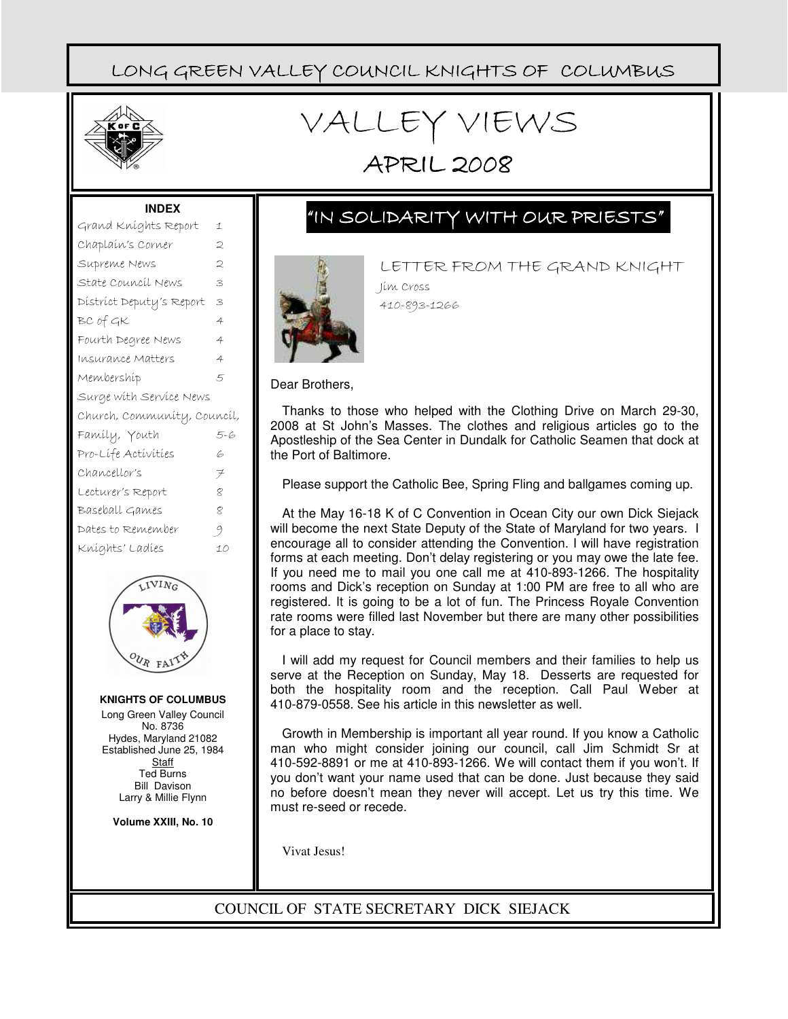

# VALLEY VIEWS

# APRIL 2008

#### **INDEX**

| Grand Kníghts Report        | 1      |  |  |  |
|-----------------------------|--------|--|--|--|
| Chaplaín's Corner           | ⊃      |  |  |  |
| Supreme News                | 2      |  |  |  |
| State Council News          | 3      |  |  |  |
| District Deputy's Report    | 3      |  |  |  |
| BC of GK                    | 4      |  |  |  |
| Fourth Degree News          | 4      |  |  |  |
| Insurance Matters           | 4      |  |  |  |
| Membershíp                  | 5      |  |  |  |
| Surge with Service News     |        |  |  |  |
|                             |        |  |  |  |
| Church, Community, Council, |        |  |  |  |
| Famíly, Youth               | 5-6    |  |  |  |
| Pro-Lífe Activities         | 6      |  |  |  |
| Chancellor's                | $\neq$ |  |  |  |
| Lecturer's Report           | 8      |  |  |  |
| Baseball Games              | 8      |  |  |  |
| Dates to Remember           | 9      |  |  |  |
| Kníghts' Ladíes             | 10     |  |  |  |



**KNIGHTS OF COLUMBUS** Long Green Valley Council No. 8736 Hydes, Maryland 21082 Established June 25, 1984 **Staff** Ted Burns Bill Davison Larry & Millie Flynn

**Volume XXIII, No. 10**

### "IN SOLIDARITY WITH OUR PRIESTS"



LETTER FROM THE GRAND KNIGHT Jim Cross 410-893-1266

Dear Brothers,

Thanks to those who helped with the Clothing Drive on March 29-30, 2008 at St John's Masses. The clothes and religious articles go to the Apostleship of the Sea Center in Dundalk for Catholic Seamen that dock at the Port of Baltimore.

Please support the Catholic Bee, Spring Fling and ballgames coming up.

At the May 16-18 K of C Convention in Ocean City our own Dick Siejack will become the next State Deputy of the State of Maryland for two years. I encourage all to consider attending the Convention. I will have registration forms at each meeting. Don't delay registering or you may owe the late fee. If you need me to mail you one call me at 410-893-1266. The hospitality rooms and Dick's reception on Sunday at 1:00 PM are free to all who are registered. It is going to be a lot of fun. The Princess Royale Convention rate rooms were filled last November but there are many other possibilities for a place to stay.

I will add my request for Council members and their families to help us serve at the Reception on Sunday, May 18. Desserts are requested for both the hospitality room and the reception. Call Paul Weber at 410-879-0558. See his article in this newsletter as well.

Growth in Membership is important all year round. If you know a Catholic man who might consider joining our council, call Jim Schmidt Sr at 410-592-8891 or me at 410-893-1266. We will contact them if you won't. If you don't want your name used that can be done. Just because they said no before doesn't mean they never will accept. Let us try this time. We must re-seed or recede.

Vivat Jesus!

COUNCIL OF STATE SECRETARY DICK SIEJACK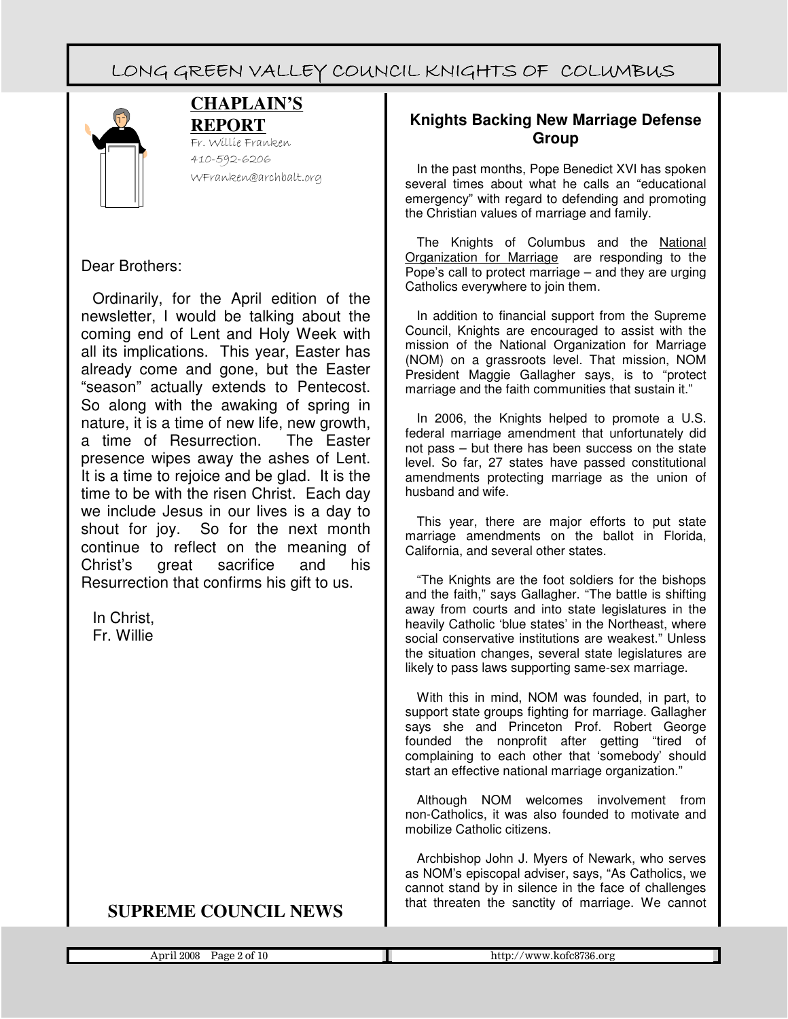

#### **CHAPLAIN'S REPORT**

Fr. Willie Franken 410-592-6206 WFranken@archbalt.org

#### Dear Brothers:

Ordinarily, for the April edition of the newsletter, I would be talking about the coming end of Lent and Holy Week with all its implications. This year, Easter has already come and gone, but the Easter "season" actually extends to Pentecost. So along with the awaking of spring in nature, it is a time of new life, new growth, a time of Resurrection. The Easter presence wipes away the ashes of Lent. It is a time to rejoice and be glad. It is the time to be with the risen Christ. Each day we include Jesus in our lives is a day to shout for joy. So for the next month continue to reflect on the meaning of Christ's great sacrifice and his Resurrection that confirms his gift to us.

In Christ, Fr. Willie

### **SUPREME COUNCIL NEWS**

#### **Knights Backing New Marriage Defense Group**

In the past months, Pope Benedict XVI has spoken several times about what he calls an "educational emergency" with regard to defending and promoting the Christian values of marriage and family.

The Knights of Columbus and the National Organization for Marriage are responding to the Pope's call to protect marriage – and they are urging Catholics everywhere to join them.

In addition to financial support from the Supreme Council, Knights are encouraged to assist with the mission of the National Organization for Marriage (NOM) on a grassroots level. That mission, NOM President Maggie Gallagher says, is to "protect marriage and the faith communities that sustain it."

In 2006, the Knights helped to promote a U.S. federal marriage amendment that unfortunately did not pass – but there has been success on the state level. So far, 27 states have passed constitutional amendments protecting marriage as the union of husband and wife.

This year, there are major efforts to put state marriage amendments on the ballot in Florida, California, and several other states.

"The Knights are the foot soldiers for the bishops and the faith," says Gallagher. "The battle is shifting away from courts and into state legislatures in the heavily Catholic 'blue states' in the Northeast, where social conservative institutions are weakest." Unless the situation changes, several state legislatures are likely to pass laws supporting same-sex marriage.

With this in mind, NOM was founded, in part, to support state groups fighting for marriage. Gallagher says she and Princeton Prof. Robert George founded the nonprofit after getting "tired of complaining to each other that 'somebody' should start an effective national marriage organization."

Although NOM welcomes involvement from non-Catholics, it was also founded to motivate and mobilize Catholic citizens.

Archbishop John J. Myers of Newark, who serves as NOM's episcopal adviser, says, "As Catholics, we cannot stand by in silence in the face of challenges that threaten the sanctity of marriage. We cannot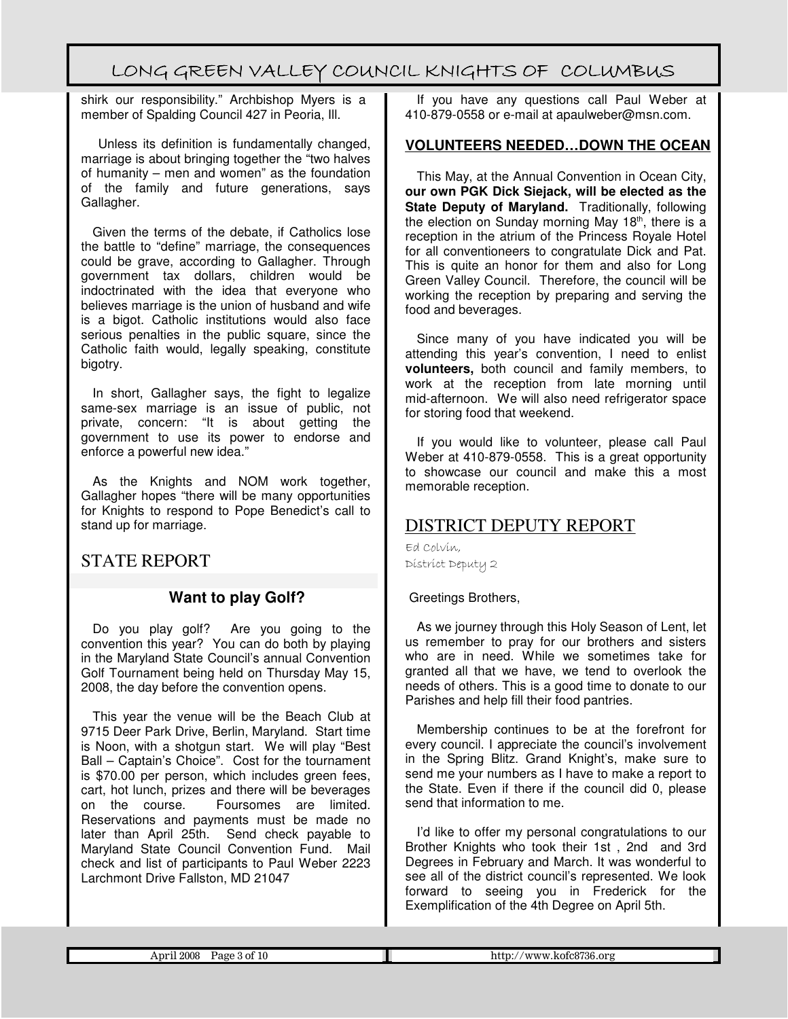shirk our responsibility." Archbishop Myers is a member of Spalding Council 427 in Peoria, Ill.

 Unless its definition is fundamentally changed, marriage is about bringing together the "two halves of humanity – men and women" as the foundation of the family and future generations, says Gallagher.

Given the terms of the debate, if Catholics lose the battle to "define" marriage, the consequences could be grave, according to Gallagher. Through government tax dollars, children would be indoctrinated with the idea that everyone who believes marriage is the union of husband and wife is a bigot. Catholic institutions would also face serious penalties in the public square, since the Catholic faith would, legally speaking, constitute bigotry.

In short, Gallagher says, the fight to legalize same-sex marriage is an issue of public, not private, concern: "It is about getting the government to use its power to endorse and enforce a powerful new idea."

As the Knights and NOM work together, Gallagher hopes "there will be many opportunities for Knights to respond to Pope Benedict's call to stand up for marriage.

STATE REPORT

#### **Want to play Golf?**

Do you play golf? Are you going to the convention this year? You can do both by playing in the Maryland State Council's annual Convention Golf Tournament being held on Thursday May 15, 2008, the day before the convention opens.

This year the venue will be the Beach Club at 9715 Deer Park Drive, Berlin, Maryland. Start time is Noon, with a shotgun start. We will play "Best Ball – Captain's Choice". Cost for the tournament is \$70.00 per person, which includes green fees, cart, hot lunch, prizes and there will be beverages on the course. Foursomes are limited. Reservations and payments must be made no later than April 25th. Send check payable to Maryland State Council Convention Fund. Mail check and list of participants to Paul Weber 2223 Larchmont Drive Fallston, MD 21047

If you have any questions call Paul Weber at 410-879-0558 or e-mail at apaulweber@msn.com.

#### **VOLUNTEERS NEEDED…DOWN THE OCEAN**

This May, at the Annual Convention in Ocean City, **our own PGK Dick Siejack, will be elected as the State Deputy of Maryland.** Traditionally, following the election on Sunday morning May 18<sup>th</sup>, there is a reception in the atrium of the Princess Royale Hotel for all conventioneers to congratulate Dick and Pat. This is quite an honor for them and also for Long Green Valley Council. Therefore, the council will be working the reception by preparing and serving the food and beverages.

Since many of you have indicated you will be attending this year's convention, I need to enlist **volunteers,** both council and family members, to work at the reception from late morning until mid-afternoon. We will also need refrigerator space for storing food that weekend.

If you would like to volunteer, please call Paul Weber at 410-879-0558. This is a great opportunity to showcase our council and make this a most memorable reception.

### DISTRICT DEPUTY REPORT

Ed Colvin, District Deputy 2

Greetings Brothers,

As we journey through this Holy Season of Lent, let us remember to pray for our brothers and sisters who are in need. While we sometimes take for granted all that we have, we tend to overlook the needs of others. This is a good time to donate to our Parishes and help fill their food pantries.

Membership continues to be at the forefront for every council. I appreciate the council's involvement in the Spring Blitz. Grand Knight's, make sure to send me your numbers as I have to make a report to the State. Even if there if the council did 0, please send that information to me.

I'd like to offer my personal congratulations to our Brother Knights who took their 1st , 2nd and 3rd Degrees in February and March. It was wonderful to see all of the district council's represented. We look forward to seeing you in Frederick for the Exemplification of the 4th Degree on April 5th.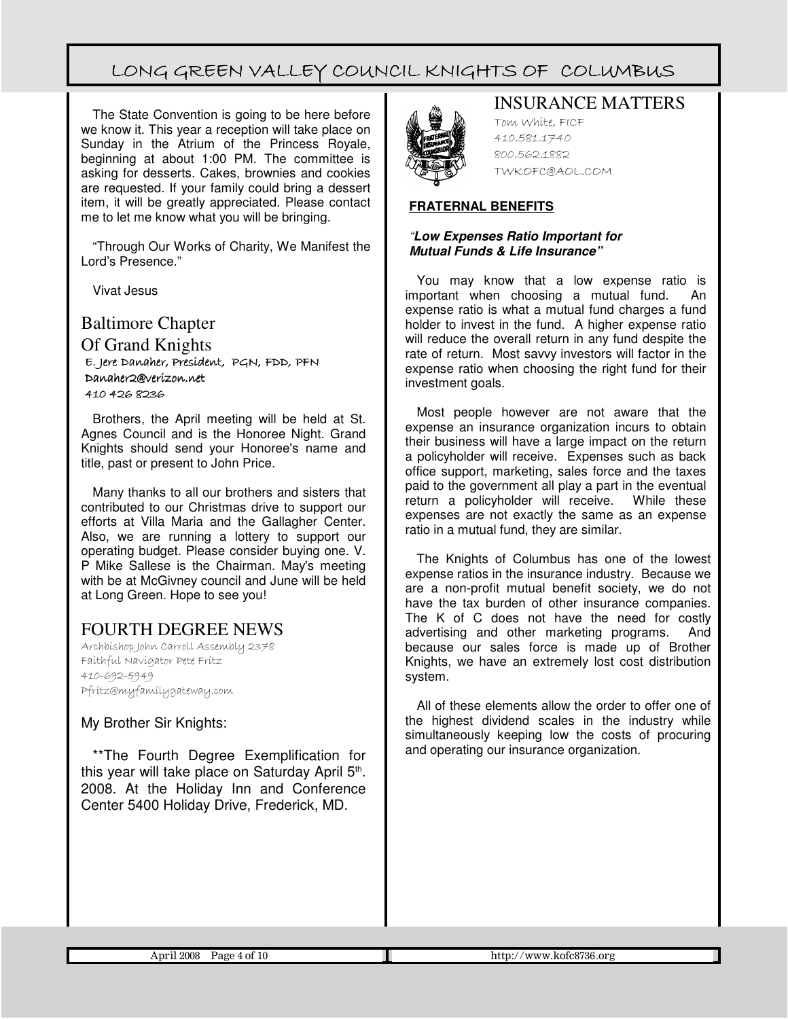The State Convention is going to be here before we know it. This year a reception will take place on Sunday in the Atrium of the Princess Royale, beginning at about 1:00 PM. The committee is asking for desserts. Cakes, brownies and cookies are requested. If your family could bring a dessert item, it will be greatly appreciated. Please contact me to let me know what you will be bringing.

"Through Our Works of Charity, We Manifest the Lord's Presence."

Vivat Jesus

Baltimore Chapter Of Grand Knights E. Jere Jere Danaher, President, President, PGN, FDD, PFN Danaher2@verizon.net 410 426 8236

Brothers, the April meeting will be held at St. Agnes Council and is the Honoree Night. Grand Knights should send your Honoree's name and title, past or present to John Price.

Many thanks to all our brothers and sisters that contributed to our Christmas drive to support our efforts at Villa Maria and the Gallagher Center. Also, we are running a lottery to support our operating budget. Please consider buying one. V. P Mike Sallese is the Chairman. May's meeting with be at McGivney council and June will be held at Long Green. Hope to see you!

#### FOURTH DEGREE NEWS

Archbishop John Carroll Assembly 2378 Faithful Navigator Pete Fritz 410-692-5949 Pfritz@myfamilygateway.com

My Brother Sir Knights:

\*\*The Fourth Degree Exemplification for this year will take place on Saturday April 5<sup>th</sup>. 2008. At the Holiday Inn and Conference Center 5400 Holiday Drive, Frederick, MD.



INSURANCE MATTERS

Tom White, FICF 410.581.1740 800.562.1882 TWKOFC@AOL.COM

#### **FRATERNAL BENEFITS**

#### "**Low Expenses Ratio Important for Mutual Funds & Life Insurance"**

You may know that a low expense ratio is important when choosing a mutual fund. An expense ratio is what a mutual fund charges a fund holder to invest in the fund. A higher expense ratio will reduce the overall return in any fund despite the rate of return. Most savvy investors will factor in the expense ratio when choosing the right fund for their investment goals.

Most people however are not aware that the expense an insurance organization incurs to obtain their business will have a large impact on the return a policyholder will receive. Expenses such as back office support, marketing, sales force and the taxes paid to the government all play a part in the eventual return a policyholder will receive. While these expenses are not exactly the same as an expense ratio in a mutual fund, they are similar.

The Knights of Columbus has one of the lowest expense ratios in the insurance industry. Because we are a non-profit mutual benefit society, we do not have the tax burden of other insurance companies. The K of C does not have the need for costly advertising and other marketing programs. And because our sales force is made up of Brother Knights, we have an extremely lost cost distribution system.

All of these elements allow the order to offer one of the highest dividend scales in the industry while simultaneously keeping low the costs of procuring and operating our insurance organization.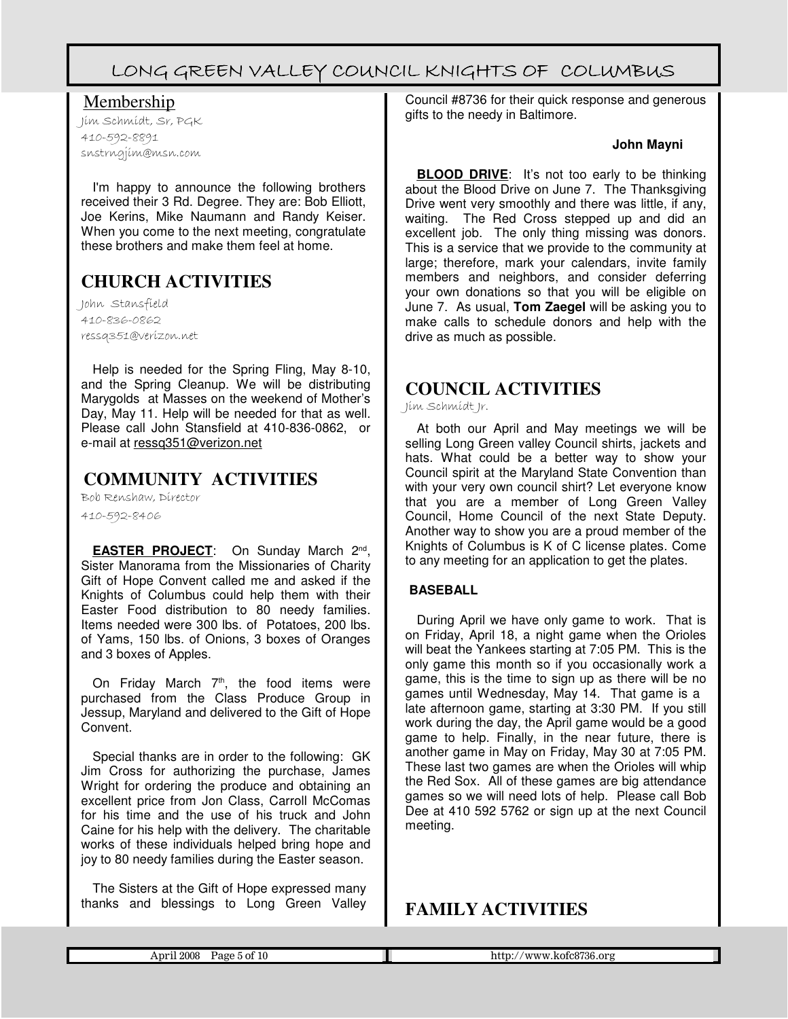Membership

Jim Schmidt, Sr, PGK 410-592-8891 snstrngjim@msn.com

I'm happy to announce the following brothers received their 3 Rd. Degree. They are: Bob Elliott, Joe Kerins, Mike Naumann and Randy Keiser. When you come to the next meeting, congratulate these brothers and make them feel at home.

### **CHURCH ACTIVITIES**

John Stansfield 410-836-0862 ressq351@verizon.net

Help is needed for the Spring Fling, May 8-10, and the Spring Cleanup. We will be distributing Marygolds at Masses on the weekend of Mother's Day, May 11. Help will be needed for that as well. Please call John Stansfield at 410-836-0862, or e-mail at ressq351@verizon.net

### **COMMUNITY ACTIVITIES**

Bob Renshaw, Director

410-592-8406

**EASTER PROJECT**: On Sunday March 2nd , Sister Manorama from the Missionaries of Charity Gift of Hope Convent called me and asked if the Knights of Columbus could help them with their Easter Food distribution to 80 needy families. Items needed were 300 lbs. of Potatoes, 200 lbs. of Yams, 150 lbs. of Onions, 3 boxes of Oranges and 3 boxes of Apples.

On Friday March  $7<sup>th</sup>$ , the food items were purchased from the Class Produce Group in Jessup, Maryland and delivered to the Gift of Hope **Convent** 

Special thanks are in order to the following: GK Jim Cross for authorizing the purchase, James Wright for ordering the produce and obtaining an excellent price from Jon Class, Carroll McComas for his time and the use of his truck and John Caine for his help with the delivery. The charitable works of these individuals helped bring hope and joy to 80 needy families during the Easter season.

The Sisters at the Gift of Hope expressed many thanks and blessings to Long Green Valley

Council #8736 for their quick response and generous gifts to the needy in Baltimore.

#### **John Mayni**

**BLOOD DRIVE:** It's not too early to be thinking about the Blood Drive on June 7. The Thanksgiving Drive went very smoothly and there was little, if any, waiting. The Red Cross stepped up and did an excellent job. The only thing missing was donors. This is a service that we provide to the community at large; therefore, mark your calendars, invite family members and neighbors, and consider deferring your own donations so that you will be eligible on June 7. As usual, **Tom Zaegel** will be asking you to make calls to schedule donors and help with the drive as much as possible.

### **COUNCIL ACTIVITIES**

Jim Schmidt Jr.

At both our April and May meetings we will be selling Long Green valley Council shirts, jackets and hats. What could be a better way to show your Council spirit at the Maryland State Convention than with your very own council shirt? Let everyone know that you are a member of Long Green Valley Council, Home Council of the next State Deputy. Another way to show you are a proud member of the Knights of Columbus is K of C license plates. Come to any meeting for an application to get the plates.

#### **BASEBALL**

During April we have only game to work. That is on Friday, April 18, a night game when the Orioles will beat the Yankees starting at 7:05 PM. This is the only game this month so if you occasionally work a game, this is the time to sign up as there will be no games until Wednesday, May 14. That game is a late afternoon game, starting at 3:30 PM. If you still work during the day, the April game would be a good game to help. Finally, in the near future, there is another game in May on Friday, May 30 at 7:05 PM. These last two games are when the Orioles will whip the Red Sox. All of these games are big attendance games so we will need lots of help. Please call Bob Dee at 410 592 5762 or sign up at the next Council meeting.

### **FAMILY ACTIVITIES**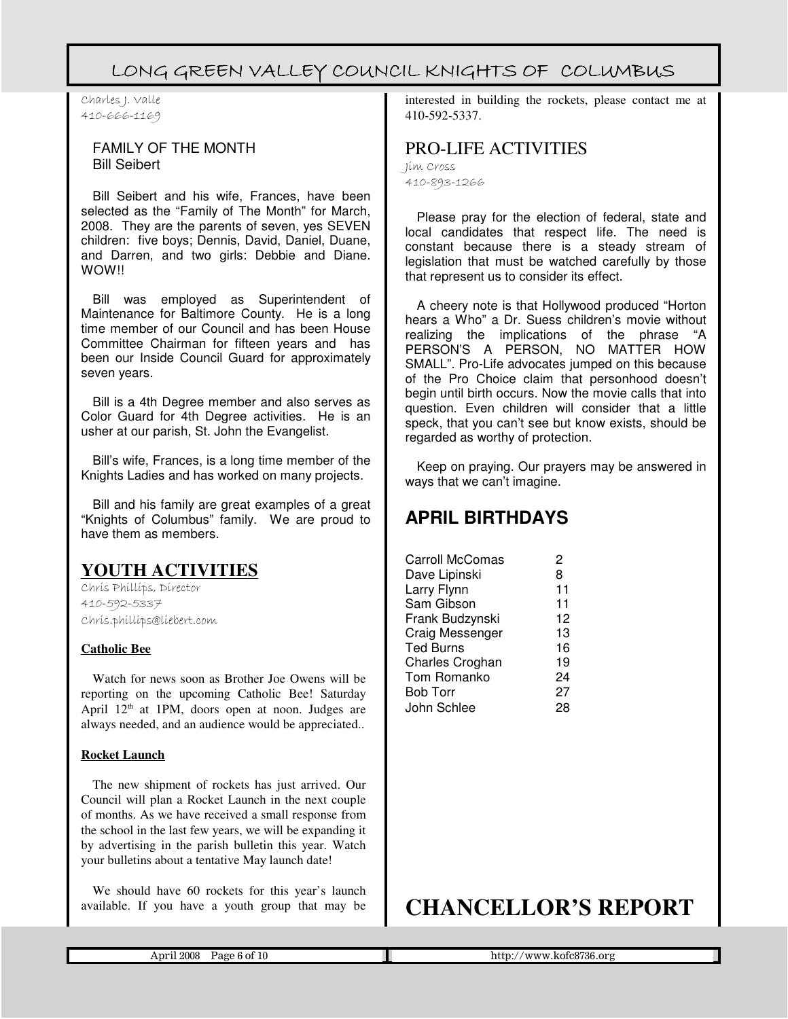Charles J. Valle 410-666-1169

#### FAMILY OF THE MONTH Bill Seibert

Bill Seibert and his wife, Frances, have been selected as the "Family of The Month" for March, 2008. They are the parents of seven, yes SEVEN children: five boys; Dennis, David, Daniel, Duane, and Darren, and two girls: Debbie and Diane. WOW**!!** 

Bill was employed as Superintendent of Maintenance for Baltimore County. He is a long time member of our Council and has been House Committee Chairman for fifteen years and has been our Inside Council Guard for approximately seven years.

Bill is a 4th Degree member and also serves as Color Guard for 4th Degree activities. He is an usher at our parish, St. John the Evangelist.

Bill's wife, Frances, is a long time member of the Knights Ladies and has worked on many projects.

Bill and his family are great examples of a great "Knights of Columbus" family. We are proud to have them as members.

### **YOUTH ACTIVITIES**

Chris Phillips, Director 410-592-5337 Chris.phillips@liebert.com

#### **Catholic Bee**

Watch for news soon as Brother Joe Owens will be reporting on the upcoming Catholic Bee! Saturday April  $12<sup>th</sup>$  at 1PM, doors open at noon. Judges are always needed, and an audience would be appreciated..

#### **Rocket Launch**

The new shipment of rockets has just arrived. Our Council will plan a Rocket Launch in the next couple of months. As we have received a small response from the school in the last few years, we will be expanding it by advertising in the parish bulletin this year. Watch your bulletins about a tentative May launch date!

We should have 60 rockets for this year's launch available. If you have a youth group that may be interested in building the rockets, please contact me at 410-592-5337.

PRO-LIFE ACTIVITIES Jim Cross 410-893-1266

Please pray for the election of federal, state and local candidates that respect life. The need is constant because there is a steady stream of legislation that must be watched carefully by those that represent us to consider its effect.

A cheery note is that Hollywood produced "Horton hears a Who" a Dr. Suess children's movie without realizing the implications of the phrase "A PERSON'S A PERSON, NO MATTER HOW SMALL". Pro-Life advocates jumped on this because of the Pro Choice claim that personhood doesn't begin until birth occurs. Now the movie calls that into question. Even children will consider that a little speck, that you can't see but know exists, should be regarded as worthy of protection.

Keep on praying. Our prayers may be answered in ways that we can't imagine.

### **APRIL BIRTHDAYS**

| <b>Carroll McComas</b> | 2  |
|------------------------|----|
| Dave Lipinski          | 8  |
| Larry Flynn            | 11 |
| Sam Gibson             | 11 |
| Frank Budzynski        | 12 |
| Craig Messenger        | 13 |
| Ted Burns              | 16 |
| Charles Croghan        | 19 |
| Tom Romanko            | 24 |
| <b>Bob Torr</b>        | 27 |
| John Schlee            | 28 |
|                        |    |

# **CHANCELLOR'S REPORT**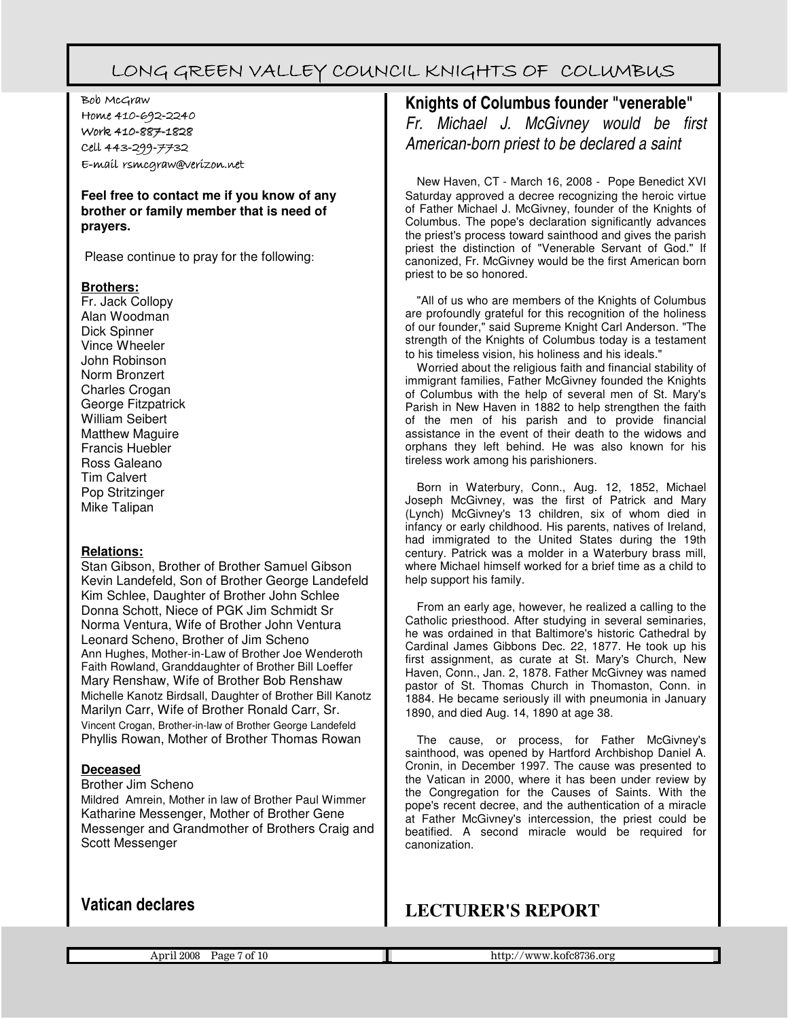Bob McGraw Home 410-692-2240 Work 410-887-1828 Cell 443-299-7732 E-mail rsmcgraw@verizon.net

**Feel free to contact me if you know of any brother or family member that is need of prayers.** 

Please continue to pray for the following:

#### **Brothers:**

Fr. Jack Collopy Alan Woodman Dick Spinner Vince Wheeler John Robinson Norm Bronzert Charles Crogan George Fitzpatrick William Seibert Matthew Maguire Francis Huebler Ross Galeano Tim Calvert Pop Stritzinger Mike Talipan

#### **Relations:**

Stan Gibson, Brother of Brother Samuel Gibson Kevin Landefeld, Son of Brother George Landefeld Kim Schlee, Daughter of Brother John Schlee Donna Schott, Niece of PGK Jim Schmidt Sr Norma Ventura, Wife of Brother John Ventura Leonard Scheno, Brother of Jim Scheno Ann Hughes, Mother-in-Law of Brother Joe Wenderoth Faith Rowland, Granddaughter of Brother Bill Loeffer Mary Renshaw, Wife of Brother Bob Renshaw Michelle Kanotz Birdsall, Daughter of Brother Bill Kanotz Marilyn Carr, Wife of Brother Ronald Carr, Sr. Vincent Crogan, Brother-in-law of Brother George Landefeld Phyllis Rowan, Mother of Brother Thomas Rowan

#### **Deceased**

Brother Jim Scheno

Mildred Amrein, Mother in law of Brother Paul Wimmer Katharine Messenger, Mother of Brother Gene Messenger and Grandmother of Brothers Craig and Scott Messenger

### **Knights of Columbus founder "venerable"**

Fr. Michael J. McGivney would be first American-born priest to be declared a saint

New Haven, CT - March 16, 2008 - Pope Benedict XVI Saturday approved a decree recognizing the heroic virtue of Father Michael J. McGivney, founder of the Knights of Columbus. The pope's declaration significantly advances the priest's process toward sainthood and gives the parish priest the distinction of "Venerable Servant of God." If canonized, Fr. McGivney would be the first American born priest to be so honored.

"All of us who are members of the Knights of Columbus are profoundly grateful for this recognition of the holiness of our founder," said Supreme Knight Carl Anderson. "The strength of the Knights of Columbus today is a testament to his timeless vision, his holiness and his ideals."

Worried about the religious faith and financial stability of immigrant families, Father McGivney founded the Knights of Columbus with the help of several men of St. Mary's Parish in New Haven in 1882 to help strengthen the faith of the men of his parish and to provide financial assistance in the event of their death to the widows and orphans they left behind. He was also known for his tireless work among his parishioners.

Born in Waterbury, Conn., Aug. 12, 1852, Michael Joseph McGivney, was the first of Patrick and Mary (Lynch) McGivney's 13 children, six of whom died in infancy or early childhood. His parents, natives of Ireland, had immigrated to the United States during the 19th century. Patrick was a molder in a Waterbury brass mill, where Michael himself worked for a brief time as a child to help support his family.

From an early age, however, he realized a calling to the Catholic priesthood. After studying in several seminaries, he was ordained in that Baltimore's historic Cathedral by Cardinal James Gibbons Dec. 22, 1877. He took up his first assignment, as curate at St. Mary's Church, New Haven, Conn., Jan. 2, 1878. Father McGivney was named pastor of St. Thomas Church in Thomaston, Conn. in 1884. He became seriously ill with pneumonia in January 1890, and died Aug. 14, 1890 at age 38.

The cause, or process, for Father McGivney's sainthood, was opened by Hartford Archbishop Daniel A. Cronin, in December 1997. The cause was presented to the Vatican in 2000, where it has been under review by the Congregation for the Causes of Saints. With the pope's recent decree, and the authentication of a miracle at Father McGivney's intercession, the priest could be beatified. A second miracle would be required for canonization.

### **LECTURER'S REPORT**

#### **Vatican declares**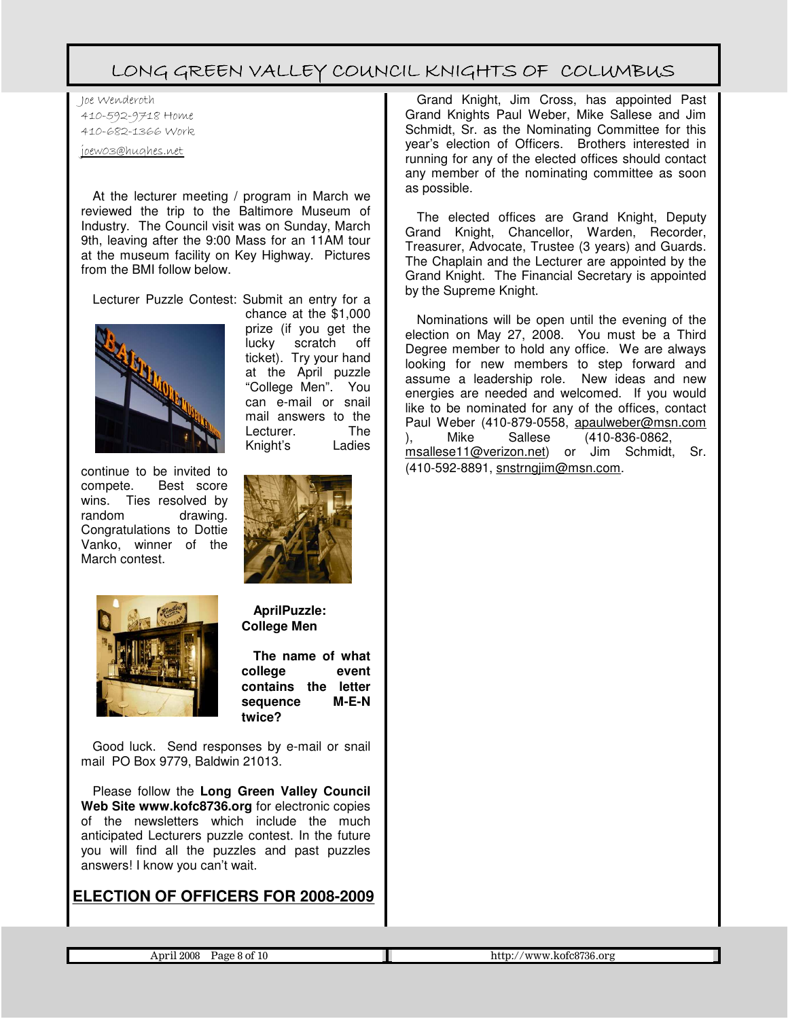Joe Wenderoth 410-592-9718 Home 410-682-1366 Work

joew03@hughes.net

At the lecturer meeting / program in March we reviewed the trip to the Baltimore Museum of Industry. The Council visit was on Sunday, March 9th, leaving after the 9:00 Mass for an 11AM tour at the museum facility on Key Highway. Pictures from the BMI follow below.

Lecturer Puzzle Contest: Submit an entry for a chance at the \$1,000



continue to be invited to compete. Best score wins. Ties resolved by random drawing. Congratulations to Dottie Vanko, winner of the March contest.



Knight's Ladies

Lecturer.

prize (if you get the lucky scratch off ticket). Try your hand at the April puzzle "College Men". You can e-mail or snail mail answers to the<br>Lecturer. The



**AprilPuzzle: College Men**

**The name of what college event contains the letter** sequence **twice?**

Good luck. Send responses by e-mail or snail mail PO Box 9779, Baldwin 21013.

Please follow the **Long Green Valley Council Web Site www.kofc8736.org** for electronic copies of the newsletters which include the much anticipated Lecturers puzzle contest. In the future you will find all the puzzles and past puzzles answers! I know you can't wait.

#### **ELECTION OF OFFICERS FOR 2008-2009**

Grand Knight, Jim Cross, has appointed Past Grand Knights Paul Weber, Mike Sallese and Jim Schmidt, Sr. as the Nominating Committee for this year's election of Officers. Brothers interested in running for any of the elected offices should contact any member of the nominating committee as soon as possible.

The elected offices are Grand Knight, Deputy Grand Knight, Chancellor, Warden, Recorder, Treasurer, Advocate, Trustee (3 years) and Guards. The Chaplain and the Lecturer are appointed by the Grand Knight. The Financial Secretary is appointed by the Supreme Knight.

Nominations will be open until the evening of the election on May 27, 2008. You must be a Third Degree member to hold any office. We are always looking for new members to step forward and assume a leadership role. New ideas and new energies are needed and welcomed. If you would like to be nominated for any of the offices, contact Paul Weber (410-879-0558, apaulweber@msn.com ), Mike Sallese (410-836-0862, msallese11@verizon.net) or Jim Schmidt, Sr. (410-592-8891, snstrngjim@msn.com.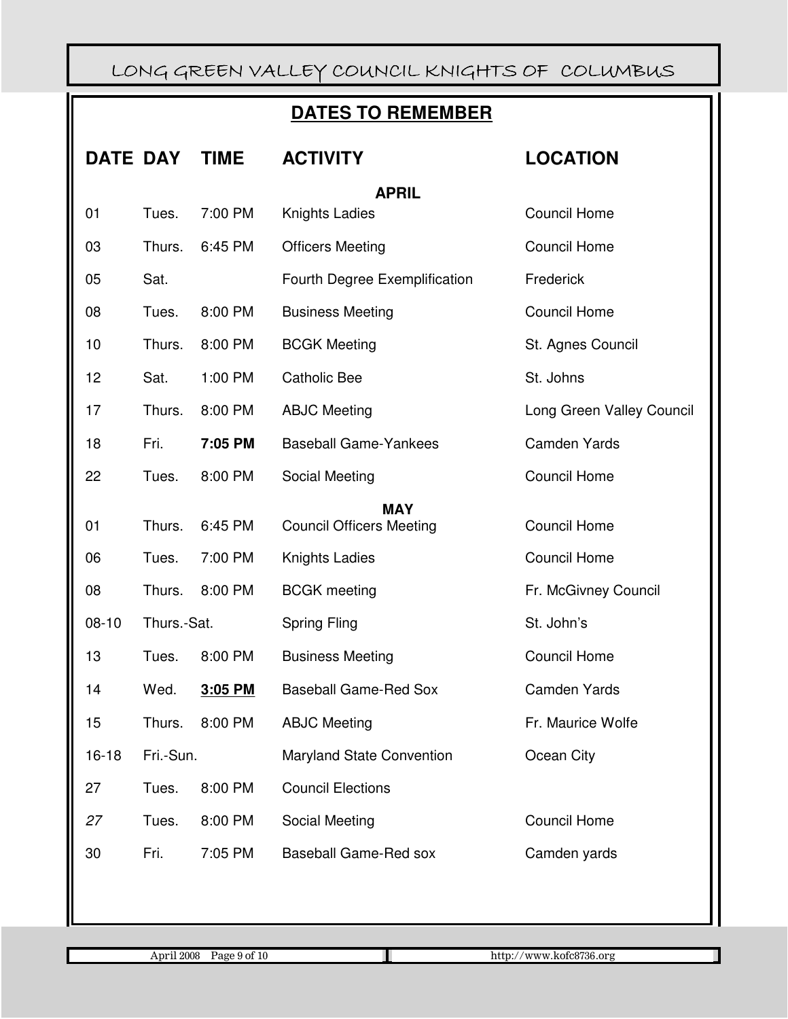### **DATES TO REMEMBER**

|                        | <b>DATE DAY</b> | <b>TIME</b> | <b>ACTIVITY</b>                  | <b>LOCATION</b>           |  |  |
|------------------------|-----------------|-------------|----------------------------------|---------------------------|--|--|
| <b>APRIL</b>           |                 |             |                                  |                           |  |  |
| 01                     | Tues.           | 7:00 PM     | Knights Ladies                   | <b>Council Home</b>       |  |  |
| 03                     | Thurs.          | 6:45 PM     | <b>Officers Meeting</b>          | <b>Council Home</b>       |  |  |
| 05                     | Sat.            |             | Fourth Degree Exemplification    | Frederick                 |  |  |
| 08                     | Tues.           | 8:00 PM     | <b>Business Meeting</b>          | <b>Council Home</b>       |  |  |
| 10                     | Thurs.          | 8:00 PM     | <b>BCGK Meeting</b>              | St. Agnes Council         |  |  |
| 12                     | Sat.            | 1:00 PM     | <b>Catholic Bee</b>              | St. Johns                 |  |  |
| 17                     | Thurs.          | 8:00 PM     | <b>ABJC Meeting</b>              | Long Green Valley Council |  |  |
| 18                     | Fri.            | 7:05 PM     | <b>Baseball Game-Yankees</b>     | <b>Camden Yards</b>       |  |  |
| 22                     | Tues.           | 8:00 PM     | Social Meeting                   | <b>Council Home</b>       |  |  |
|                        | <b>MAY</b>      |             |                                  |                           |  |  |
| 01                     | Thurs.          | 6:45 PM     | <b>Council Officers Meeting</b>  | <b>Council Home</b>       |  |  |
| 06                     | Tues.           | 7:00 PM     | Knights Ladies                   | <b>Council Home</b>       |  |  |
| 08                     | Thurs.          | 8:00 PM     | <b>BCGK</b> meeting              | Fr. McGivney Council      |  |  |
| $08-10$<br>Thurs.-Sat. |                 |             | Spring Fling                     | St. John's                |  |  |
| 13                     | Tues.           | 8:00 PM     | <b>Business Meeting</b>          | <b>Council Home</b>       |  |  |
| 14                     | Wed.            | 3:05 PM     | <b>Baseball Game-Red Sox</b>     | <b>Camden Yards</b>       |  |  |
| 15                     | Thurs.          | 8:00 PM     | <b>ABJC Meeting</b>              | Fr. Maurice Wolfe         |  |  |
| $16 - 18$              | Fri.-Sun.       |             | <b>Maryland State Convention</b> | Ocean City                |  |  |
| 27                     | Tues.           | 8:00 PM     | <b>Council Elections</b>         |                           |  |  |
| 27                     | Tues.           | 8:00 PM     | Social Meeting                   | <b>Council Home</b>       |  |  |
| 30                     | Fri.            | 7:05 PM     | <b>Baseball Game-Red sox</b>     | Camden yards              |  |  |
|                        |                 |             |                                  |                           |  |  |